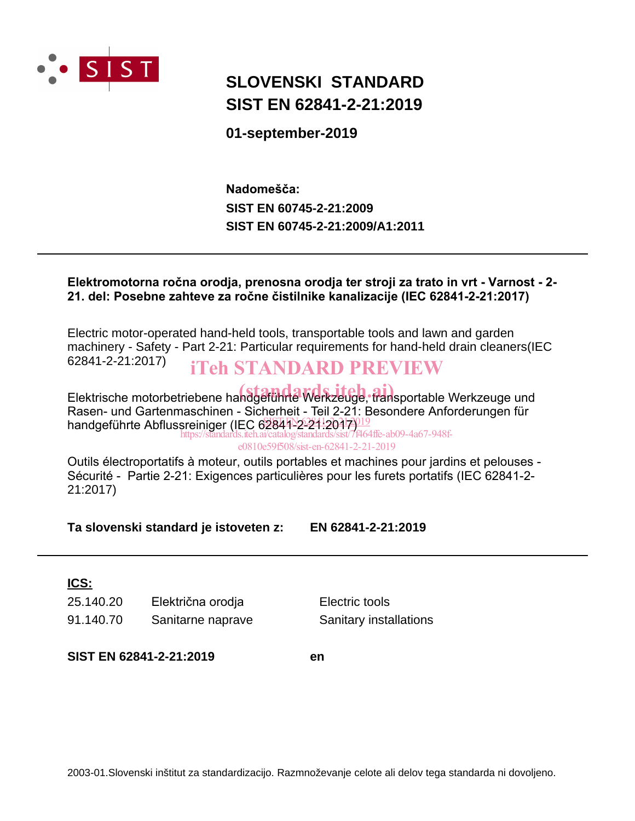

# **SLOVENSKI STANDARD SIST EN 62841-2-21:2019**

**01-september-2019**

**SIST EN 60745-2-21:2009 SIST EN 60745-2-21:2009/A1:2011 Nadomešča:**

**Elektromotorna ročna orodja, prenosna orodja ter stroji za trato in vrt - Varnost - 2- 21. del: Posebne zahteve za ročne čistilnike kanalizacije (IEC 62841-2-21:2017)**

Electric motor-operated hand-held tools, transportable tools and lawn and garden machinery - Safety - Part 2-21: Particular requirements for hand-held drain cleaners(IEC 62841-2-21:2017)

# iTeh STANDARD PREVIEW

Elektrische motorbetriebene handgeführte Werkzeuge, fransportable Werkzeuge und Rasen- und Gartenmaschinen - Sicherheit - Teil 2-21: Besondere Anforderungen für handgeführte Abflussreiniger (IEC 62844-2211-2017)19 https://standards.iteh.ai/catalog/standards/sist/7f464ffe-ab09-4a67-948f-

e0810e59f508/sist-en-62841-2-21-2019

Outils électroportatifs à moteur, outils portables et machines pour jardins et pelouses - Sécurité - Partie 2-21: Exigences particulières pour les furets portatifs (IEC 62841-2- 21:2017)

**Ta slovenski standard je istoveten z: EN 62841-2-21:2019**

### **ICS:**

| 25.140.20 | Električna orodja |
|-----------|-------------------|
| 91.140.70 | Sanitarne naprave |

Electric tools Sanitary installations

**SIST EN 62841-2-21:2019 en**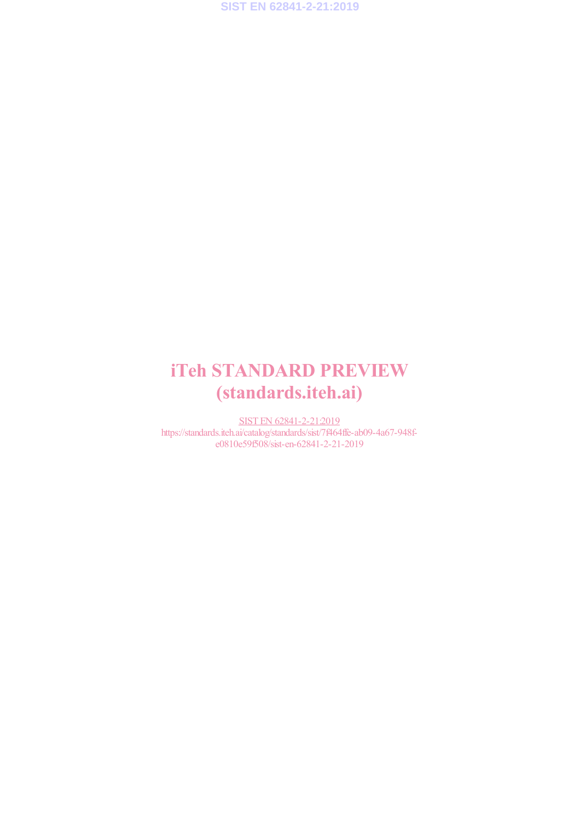# iTeh STANDARD PREVIEW (standards.iteh.ai)

SIST EN 62841-2-21:2019 https://standards.iteh.ai/catalog/standards/sist/7f464ffe-ab09-4a67-948fe0810e59f508/sist-en-62841-2-21-2019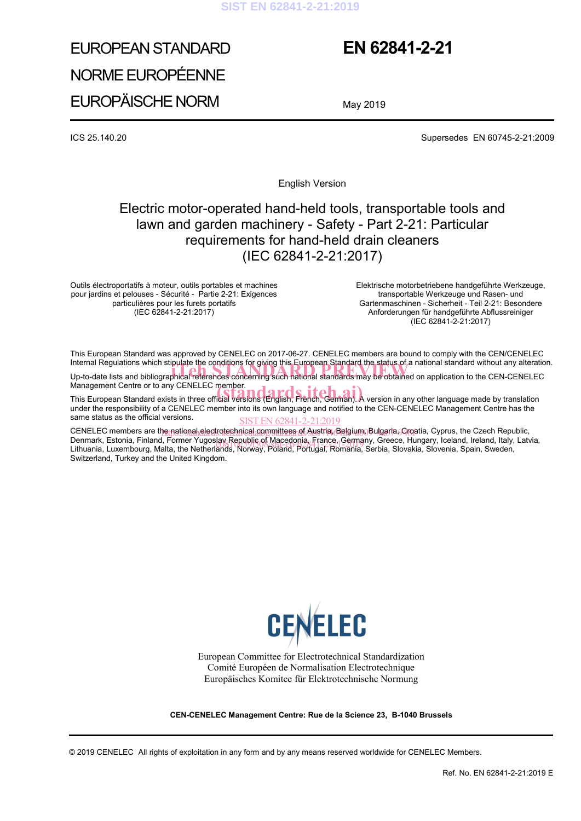# EUROPEAN STANDARD NORME EUROPÉENNE EUROPÄISCHE NORM

## **EN 62841-2-21**

May 2019

ICS 25.140.20 Supersedes EN 60745-2-21:2009

English Version

## Electric motor-operated hand-held tools, transportable tools and lawn and garden machinery - Safety - Part 2-21: Particular requirements for hand-held drain cleaners (IEC 62841-2-21:2017)

Outils électroportatifs à moteur, outils portables et machines pour jardins et pelouses - Sécurité - Partie 2-21: Exigences particulières pour les furets portatifs (IEC 62841-2-21:2017)

Elektrische motorbetriebene handgeführte Werkzeuge, transportable Werkzeuge und Rasen- und Gartenmaschinen - Sicherheit - Teil 2-21: Besondere Anforderungen für handgeführte Abflussreiniger (IEC 62841-2-21:2017)

This European Standard was approved by CENELEC on 2017-06-27. CENELEC members are bound to comply with the CEN/CENELEC Internal Regulations which stipulate the conditions for giving this European Standard the status of a national standard without any alteration. internal Regulations which stipulate the conditions for giving this European Standard the status of a national standard without any alteration<br>Up-to-date lists and bibliographical references concerning such national standa Management Centre or to any CENELEC member.

Management Centre or to any CENELEC member.<br>This European Standard exists in three official versions (English, French, German). A version in any other language made by translation under the responsibility of a CENELEC member into its own language and notified to the CEN-CENELEC Management Centre has the same status as the official versions. SIST EN 62841-2-21:2019

CENELEC members are the pational electrotechnical committees of Austria, Belgium, Bulgaria, Croatia, Cyprus, the Czech Republic, Denmark, Estonia, Finland, Former Yugoslav Republic of Macedonia, France, Germany, Greece, Hungary, Iceland, Ireland, Italy, Latvia, Denmark, Estonia, Finiand, Former Yugoslav, Republic of Macedonia, France, Germany, Greece, Hungary, Iceland, Ireland, Italy,<br>Lithuania, Luxembourg, Malta, the Netherlands, Norway, Poland, Portugal, Romania, Serbia, Slovak Switzerland, Turkey and the United Kingdom.



European Committee for Electrotechnical Standardization Comité Européen de Normalisation Electrotechnique Europäisches Komitee für Elektrotechnische Normung

**CEN-CENELEC Management Centre: Rue de la Science 23, B-1040 Brussels**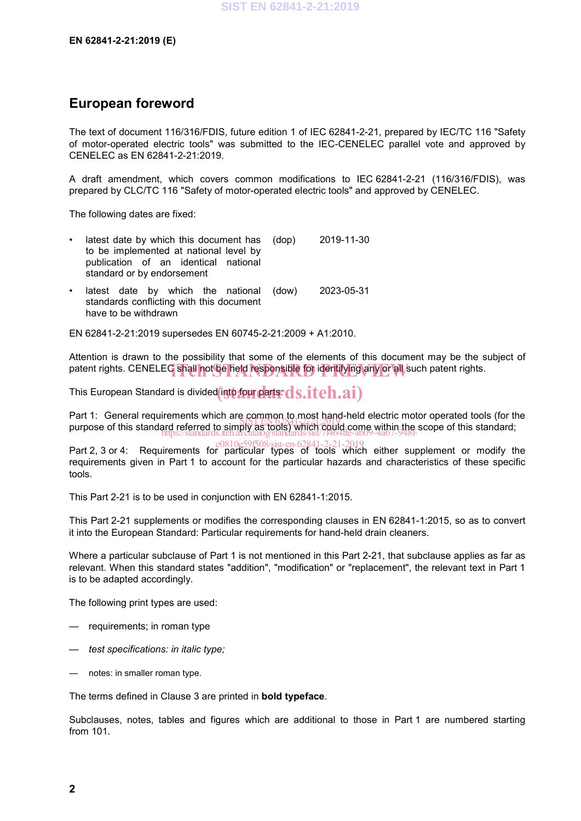### **European foreword**

The text of document 116/316/FDIS, future edition 1 of IEC 62841-2-21, prepared by IEC/TC 116 "Safety of motor-operated electric tools" was submitted to the IEC-CENELEC parallel vote and approved by CENELEC as EN 62841-2-21:2019.

A draft amendment, which covers common modifications to IEC 62841-2-21 (116/316/FDIS), was prepared by CLC/TC 116 "Safety of motor-operated electric tools" and approved by CENELEC.

The following dates are fixed:

| $\bullet$ | latest date by which this document has (dop)<br>to be implemented at national level by<br>publication of an identical national<br>standard or by endorsement | 2019-11-30 |
|-----------|--------------------------------------------------------------------------------------------------------------------------------------------------------------|------------|
|           | latest date by which the national (dow)<br>standards conflicting with this document<br>have to be withdrawn                                                  | 2023-05-31 |

EN 62841-2-21:2019 supersedes EN 60745-2-21:2009 + A1:2010.

Attention is drawn to the possibility that some of the elements of this document may be the subject of patent rights. CENELEC shall not be held responsible for identifying any or all such patent rights.

This European Standard is divided into four parts:  $\bf{ds.iteh.ai)}$ 

Part 1: General requirements which are common to most hand-held electric motor operated tools (for the Part 1. General requirements which are common to have had been checile motor operated tools (for the<br>purpose of this standard referred to simply as tools) which could come within the scope of this standard; https://standards.iteh.ai/catalog/standards/sist/7f464ffe-ab09-4a67-948f-

e0810e59f508/sist-en-62841-2-21-2019<br>Part 2, 3 or 4: Requirements for particular types of tools which either supplement or modify the requirements given in Part 1 to account for the particular hazards and characteristics of these specific tools.

This Part 2-21 is to be used in conjunction with EN 62841-1:2015.

This Part 2-21 supplements or modifies the corresponding clauses in EN 62841-1:2015, so as to convert it into the European Standard: Particular requirements for hand-held drain cleaners.

Where a particular subclause of Part 1 is not mentioned in this Part 2-21, that subclause applies as far as relevant. When this standard states "addition", "modification" or "replacement", the relevant text in Part 1 is to be adapted accordingly.

The following print types are used:

- requirements; in roman type
- *test specifications: in italic type;*
- notes: in smaller roman type.

The terms defined in Clause 3 are printed in **bold typeface**.

Subclauses, notes, tables and figures which are additional to those in Part 1 are numbered starting from 101.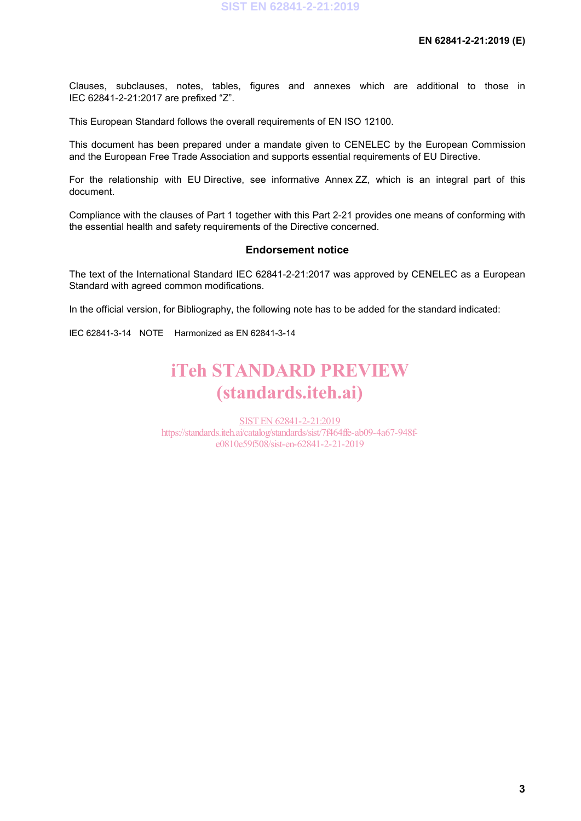Clauses, subclauses, notes, tables, figures and annexes which are additional to those in IEC 62841-2-21:2017 are prefixed "Z".

This European Standard follows the overall requirements of EN ISO 12100.

This document has been prepared under a mandate given to CENELEC by the European Commission and the European Free Trade Association and supports essential requirements of EU Directive.

For the relationship with EU Directive, see informative Annex ZZ, which is an integral part of this document.

Compliance with the clauses of Part 1 together with this Part 2-21 provides one means of conforming with the essential health and safety requirements of the Directive concerned.

#### **Endorsement notice**

The text of the International Standard IEC 62841-2-21:2017 was approved by CENELEC as a European Standard with agreed common modifications.

In the official version, for Bibliography, the following note has to be added for the standard indicated:

IEC 62841-3-14 NOTE Harmonized as EN 62841-3-14

# iTeh STANDARD PREVIEW (standards.iteh.ai)

SIST EN 62841-2-21:2019 https://standards.iteh.ai/catalog/standards/sist/7f464ffe-ab09-4a67-948fe0810e59f508/sist-en-62841-2-21-2019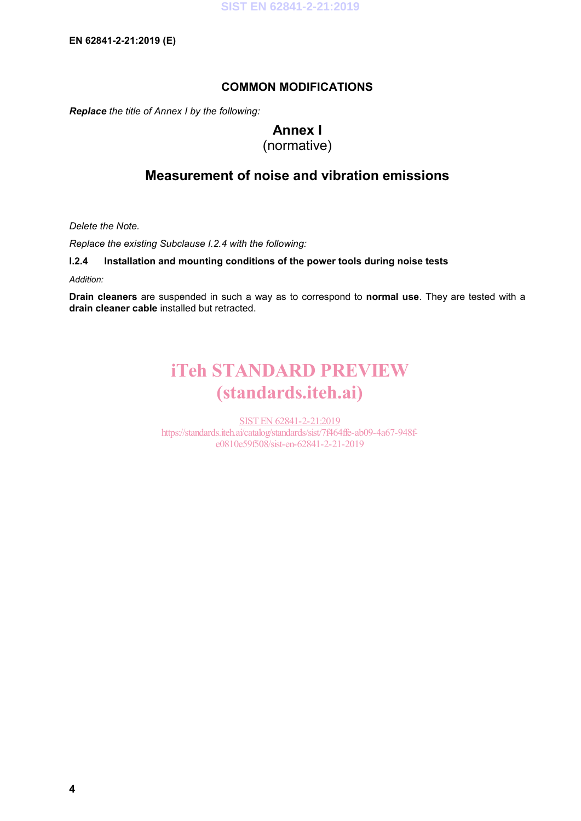### **COMMON MODIFICATIONS**

*Replace the title of Annex I by the following:*

### **Annex I** (normative)

## **Measurement of noise and vibration emissions**

*Delete the Note.*

*Replace the existing Subclause I.2.4 with the following:*

#### **I.2.4 Installation and mounting conditions of the power tools during noise tests**

*Addition:*

**Drain cleaners** are suspended in such a way as to correspond to **normal use**. They are tested with a **drain cleaner cable** installed but retracted.

# iTeh STANDARD PREVIEW (standards.iteh.ai)

SIST EN 62841-2-21:2019 https://standards.iteh.ai/catalog/standards/sist/7f464ffe-ab09-4a67-948fe0810e59f508/sist-en-62841-2-21-2019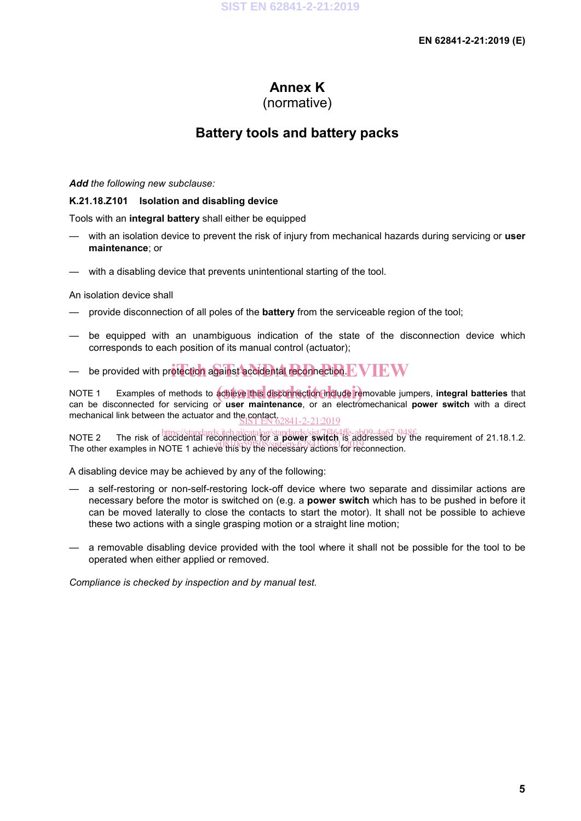## **Annex K**

### (normative)

## **Battery tools and battery packs**

*Add the following new subclause:*

**K.21.18.Z101 Isolation and disabling device**

Tools with an **integral battery** shall either be equipped

- with an isolation device to prevent the risk of injury from mechanical hazards during servicing or **user maintenance**; or
- with a disabling device that prevents unintentional starting of the tool.

An isolation device shall

- provide disconnection of all poles of the **battery** from the serviceable region of the tool;
- be equipped with an unambiguous indication of the state of the disconnection device which corresponds to each position of its manual control (actuator);
- be provided with protectio<mark>n against accidental reconnection. $\bf{EVIFW}$ </mark>

NOTE 1 Examples of methods to achieve this disconnection include removable jumpers, integral batteries that the<br>can be disconnected for convicing as user maintanance, or an electromechanical nauver awitch with a direct can be disconnected for servicing or **user maintenance**, or an electromechanical **power switch** with a direct mechanical link between the actuator and the contact. SIST EN 62841-2-21:2019

NOTE 2 The risk of accidental reconnection for a **power switch** is addressed by the requirement of 21.18.1.2. The other examples in NOTE 1 achieve this by the necessary actions for reconnection.

A disabling device may be achieved by any of the following:

- a self-restoring or non-self-restoring lock-off device where two separate and dissimilar actions are necessary before the motor is switched on (e.g. a **power switch** which has to be pushed in before it can be moved laterally to close the contacts to start the motor). It shall not be possible to achieve these two actions with a single grasping motion or a straight line motion;
- a removable disabling device provided with the tool where it shall not be possible for the tool to be operated when either applied or removed.

*Compliance is checked by inspection and by manual test.*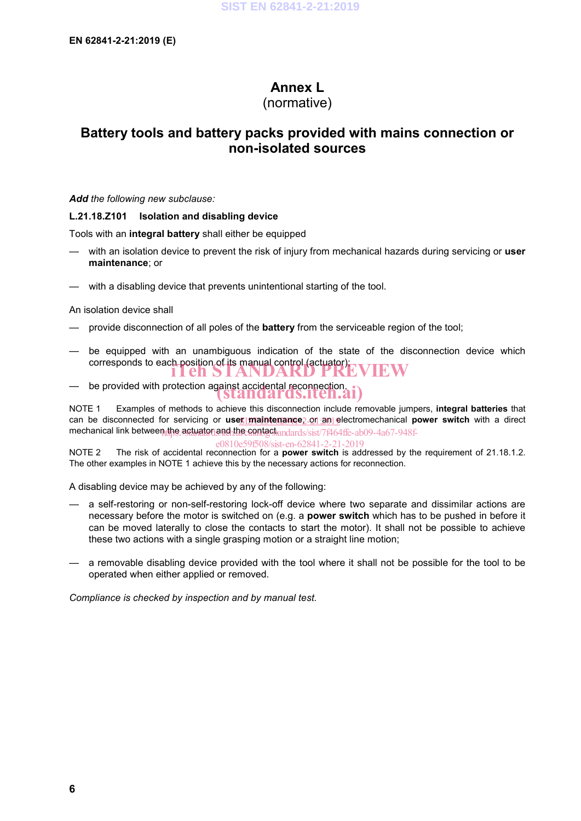## **Annex L**

### (normative)

## **Battery tools and battery packs provided with mains connection or non-isolated sources**

*Add the following new subclause:*

#### **L.21.18.Z101 Isolation and disabling device**

Tools with an **integral battery** shall either be equipped

- with an isolation device to prevent the risk of injury from mechanical hazards during servicing or **user maintenance**; or
- with a disabling device that prevents unintentional starting of the tool.

An isolation device shall

- provide disconnection of all poles of the **battery** from the serviceable region of the tool;
- be equipped with an unambiguous indication of the state of the disconnection device which corresponds to each position of its manual control (actuator);<br> **iThe Control ARD PREVIEW**
- be provided with protection against accidental reconnection.<br>
Standards.iten.ai)

NOTE 1 Examples of methods to achieve this disconnection include removable jumpers, **integral batteries** that can be disconnected for servicing or user maintenance<sub>2-</sub>on an electromechanical power switch with a direct mechanical link between the actuator and the contact and ards/sist/7f464ffe-ab09-4a67-948f-

e0810e59f508/sist-en-62841-2-21-2019

NOTE 2 The risk of accidental reconnection for a **power switch** is addressed by the requirement of 21.18.1.2. The other examples in NOTE 1 achieve this by the necessary actions for reconnection.

A disabling device may be achieved by any of the following:

- a self-restoring or non-self-restoring lock-off device where two separate and dissimilar actions are necessary before the motor is switched on (e.g. a **power switch** which has to be pushed in before it can be moved laterally to close the contacts to start the motor). It shall not be possible to achieve these two actions with a single grasping motion or a straight line motion;
- a removable disabling device provided with the tool where it shall not be possible for the tool to be operated when either applied or removed.

*Compliance is checked by inspection and by manual test.*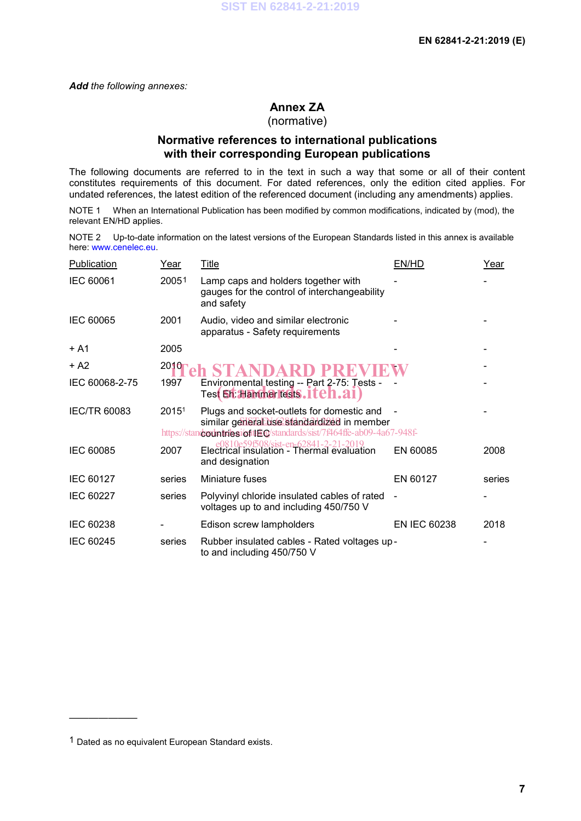*Add the following annexes:*

### **Annex ZA**

(normative)

### **Normative references to international publications with their corresponding European publications**

The following documents are referred to in the text in such a way that some or all of their content constitutes requirements of this document. For dated references, only the edition cited applies. For undated references, the latest edition of the referenced document (including any amendments) applies.

NOTE 1 When an International Publication has been modified by common modifications, indicated by (mod), the relevant EN/HD applies.

NOTE 2 Up-to-date information on the latest versions of the European Standards listed in this annex is available here: www.cenelec.eu.

| Publication         | Year   | Title                                                                                                                                                            | EN/HD               | Year   |
|---------------------|--------|------------------------------------------------------------------------------------------------------------------------------------------------------------------|---------------------|--------|
| IEC 60061           | 20051  | Lamp caps and holders together with<br>gauges for the control of interchangeability<br>and safety                                                                |                     |        |
| IEC 60065           | 2001   | Audio, video and similar electronic<br>apparatus - Safety requirements                                                                                           |                     |        |
| + A1                | 2005   |                                                                                                                                                                  |                     |        |
| + A2                | 2010   | <b>FANDARD PRE</b>                                                                                                                                               |                     |        |
| IEC 60068-2-75      | 1997   | Environmental testing -- Part 2-75: Tests -<br>Tes <b>( Elt :Hancher Tests , I T C [1 , 21 )</b>                                                                 |                     |        |
| <b>IEC/TR 60083</b> | 20151  | Plugs and socket-outlets for domestic and<br>similar general use standardized in member<br>https://standcountriesiofith@/standards/sist/7f464ffe-ab09-4a67-948f- |                     |        |
| IEC 60085           | 2007   | e0810e59f508/sist-en-62841-2-21-2019<br>Electrical insulation - Thermal evaluation<br>and designation                                                            | EN 60085            | 2008   |
| IEC 60127           | series | Miniature fuses                                                                                                                                                  | EN 60127            | series |
| IEC 60227           | series | Polyvinyl chloride insulated cables of rated<br>voltages up to and including 450/750 V                                                                           |                     |        |
| IEC 60238           |        | Edison screw lampholders                                                                                                                                         | <b>EN IEC 60238</b> | 2018   |
| <b>IEC 60245</b>    | series | Rubber insulated cables - Rated voltages up-<br>to and including 450/750 V                                                                                       |                     |        |

———————

<sup>1</sup> Dated as no equivalent European Standard exists.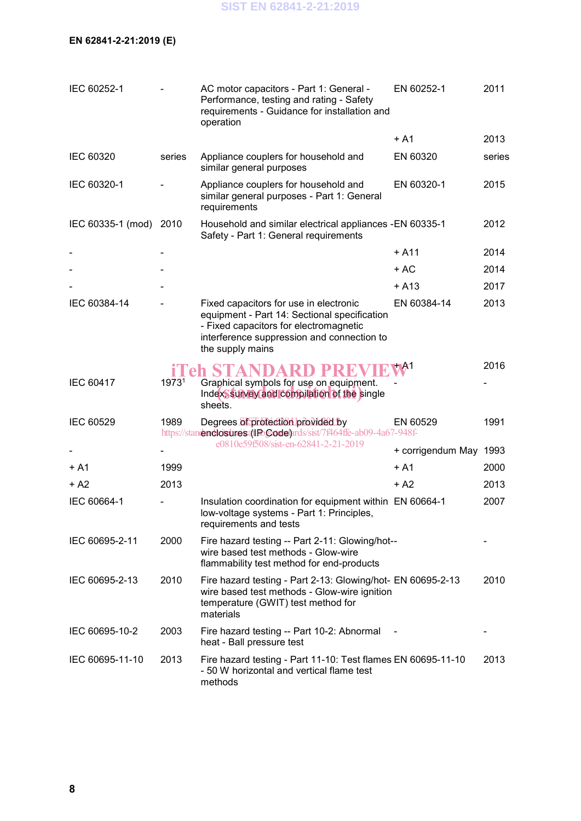### **EN 62841-2-21:2019 (E)**

| IEC 60252-1       |        | AC motor capacitors - Part 1: General -<br>Performance, testing and rating - Safety<br>requirements - Guidance for installation and<br>operation                                                   | EN 60252-1             | 2011   |
|-------------------|--------|----------------------------------------------------------------------------------------------------------------------------------------------------------------------------------------------------|------------------------|--------|
|                   |        |                                                                                                                                                                                                    | $+ A1$                 | 2013   |
| IEC 60320         | series | Appliance couplers for household and<br>similar general purposes                                                                                                                                   | EN 60320               | series |
| IEC 60320-1       |        | Appliance couplers for household and<br>similar general purposes - Part 1: General<br>requirements                                                                                                 | EN 60320-1             | 2015   |
| IEC 60335-1 (mod) | 2010   | Household and similar electrical appliances - EN 60335-1<br>Safety - Part 1: General requirements                                                                                                  |                        | 2012   |
|                   |        |                                                                                                                                                                                                    | $+ A11$                | 2014   |
|                   |        |                                                                                                                                                                                                    | $+ AC$                 | 2014   |
|                   |        |                                                                                                                                                                                                    | $+ A13$                | 2017   |
| IEC 60384-14      |        | Fixed capacitors for use in electronic<br>equipment - Part 14: Sectional specification<br>- Fixed capacitors for electromagnetic<br>interference suppression and connection to<br>the supply mains | EN 60384-14            | 2013   |
| IEC 60417         | 19731  | STANDARD PRI<br>Graphical symbols for use on equipment.<br>Index, survey and compilation of the single<br>sheets.                                                                                  | $\mathbf{M}$ 1         | 2016   |
| IEC 60529         | 1989   | Degrees of protection provided by<br>https://standendtoisureisa(tflo@odei)ards/sist/7f464ffe-ab09-4a67-948f-                                                                                       | EN 60529               | 1991   |
|                   |        | e0810e59f508/sist-en-62841-2-21-2019                                                                                                                                                               | + corrigendum May 1993 |        |
| + A1              | 1999   |                                                                                                                                                                                                    | $+ A1$                 | 2000   |
| + A2              | 2013   |                                                                                                                                                                                                    | + A2                   | 2013   |
| IEC 60664-1       |        | Insulation coordination for equipment within EN 60664-1<br>low-voltage systems - Part 1: Principles,<br>requirements and tests                                                                     |                        | 2007   |
| IEC 60695-2-11    | 2000   | Fire hazard testing -- Part 2-11: Glowing/hot--<br>wire based test methods - Glow-wire<br>flammability test method for end-products                                                                |                        |        |
| IEC 60695-2-13    | 2010   | Fire hazard testing - Part 2-13: Glowing/hot- EN 60695-2-13<br>wire based test methods - Glow-wire ignition<br>temperature (GWIT) test method for<br>materials                                     |                        | 2010   |
| IEC 60695-10-2    | 2003   | Fire hazard testing -- Part 10-2: Abnormal<br>heat - Ball pressure test                                                                                                                            |                        |        |
| IEC 60695-11-10   | 2013   | Fire hazard testing - Part 11-10: Test flames EN 60695-11-10<br>- 50 W horizontal and vertical flame test<br>methods                                                                               |                        | 2013   |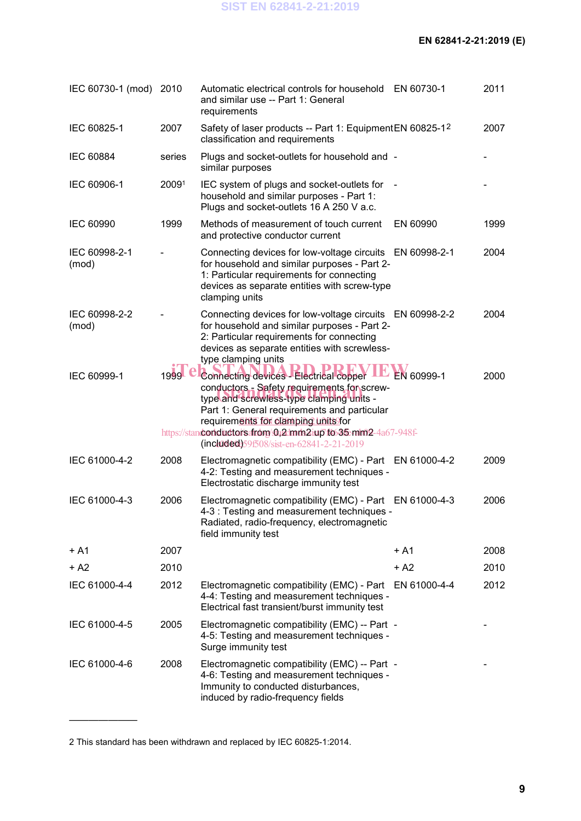| IEC 60730-1 (mod) 2010 |        | Automatic electrical controls for household EN 60730-1<br>and similar use -- Part 1: General<br>requirements                                                                                                                                                                                                                         |              | 2011 |
|------------------------|--------|--------------------------------------------------------------------------------------------------------------------------------------------------------------------------------------------------------------------------------------------------------------------------------------------------------------------------------------|--------------|------|
| IEC 60825-1            | 2007   | Safety of laser products -- Part 1: EquipmentEN 60825-12<br>classification and requirements                                                                                                                                                                                                                                          |              | 2007 |
| IEC 60884              | series | Plugs and socket-outlets for household and -<br>similar purposes                                                                                                                                                                                                                                                                     |              |      |
| IEC 60906-1            | 20091  | IEC system of plugs and socket-outlets for<br>household and similar purposes - Part 1:<br>Plugs and socket-outlets 16 A 250 V a.c.                                                                                                                                                                                                   |              |      |
| IEC 60990              | 1999   | Methods of measurement of touch current<br>and protective conductor current                                                                                                                                                                                                                                                          | EN 60990     | 1999 |
| IEC 60998-2-1<br>(mod) |        | Connecting devices for low-voltage circuits<br>for household and similar purposes - Part 2-<br>1: Particular requirements for connecting<br>devices as separate entities with screw-type<br>clamping units                                                                                                                           | EN 60998-2-1 | 2004 |
| IEC 60998-2-2<br>(mod) |        | Connecting devices for low-voltage circuits EN 60998-2-2<br>for household and similar purposes - Part 2-<br>2: Particular requirements for connecting<br>devices as separate entities with screwless-<br>type clamping units                                                                                                         |              | 2004 |
| IEC 60999-1            | 1999   | Connecting devices - Electrical copper<br>conductors - Safety requirements for screw-<br>type and screwless-type clamping units -<br>Part 1: General requirements and particular<br>requirements for clamping units for<br>https://stancondiuctorsarcom/092dmm2iup/f0635emm02-4a67-948f-<br>(included)59f508/sist-en-62841-2-21-2019 | EN 60999-1   | 2000 |
| IEC 61000-4-2          | 2008   | Electromagnetic compatibility (EMC) - Part EN 61000-4-2<br>4-2: Testing and measurement techniques -<br>Electrostatic discharge immunity test                                                                                                                                                                                        |              | 2009 |
| IEC 61000-4-3          | 2006   | Electromagnetic compatibility (EMC) - Part EN 61000-4-3<br>4-3 : Testing and measurement techniques -<br>Radiated, radio-frequency, electromagnetic<br>field immunity test                                                                                                                                                           |              | 2006 |
| + A1                   | 2007   |                                                                                                                                                                                                                                                                                                                                      | $+ A1$       | 2008 |
| + A2                   | 2010   |                                                                                                                                                                                                                                                                                                                                      | $+ A2$       | 2010 |
| IEC 61000-4-4          | 2012   | Electromagnetic compatibility (EMC) - Part<br>4-4: Testing and measurement techniques -<br>Electrical fast transient/burst immunity test                                                                                                                                                                                             | EN 61000-4-4 | 2012 |
| IEC 61000-4-5          | 2005   | Electromagnetic compatibility (EMC) -- Part -<br>4-5: Testing and measurement techniques -<br>Surge immunity test                                                                                                                                                                                                                    |              |      |
| IEC 61000-4-6          | 2008   | Electromagnetic compatibility (EMC) -- Part -<br>4-6: Testing and measurement techniques -<br>Immunity to conducted disturbances,<br>induced by radio-frequency fields                                                                                                                                                               |              |      |

<sup>2</sup> This standard has been withdrawn and replaced by IEC 60825-1:2014.

———————